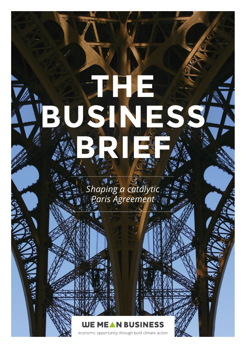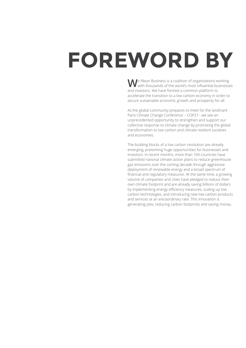# **FOREWORD BY**

We Mean Business is a coalition of organizations working<br>with thousands of the world's most influential businesses and investors. We have formed a common platform to accelerate the transition to a low carbon economy in order to secure sustainable economic growth and prosperity for all.

As the global community prepares to meet for the landmark Paris Climate Change Conference – COP21 – we see an unprecedented opportunity to strengthen and support our collective response to climate change by promoting the global transformation to low carbon and climate resilient societies and economies.

The building blocks of a low carbon revolution are already emerging, presenting huge opportunities for businesses and investors. In recent months, more than 160 countries have submitted national climate action plans to reduce greenhouse gas emissions over the coming decade through aggressive deployment of renewable energy and a broad spectrum of financial and regulatory measures. At the same time, a growing volume of companies and cities have pledged to reduce their own climate footprint and are already saving billions of dollars by implementing energy efficiency measures, scaling up low carbon technologies, and introducing new low carbon products and services at an extraordinary rate. This innovation is generating jobs, reducing carbon footprints and saving money.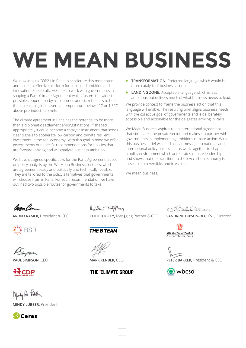# **WE MEAN BUSINESS**

We now look to COP21 in Paris to accelerate this momentum and build an effective platform for sustained ambition and innovation. Specifically, we seek to work with governments in shaping a Paris Climate Agreement which fosters the widest possible cooperation by all countries and stakeholders to hold the increase in global average temperature below 2°C or 1.5°C above pre-industrial levels.

The climate agreement in Paris has the potential to be more than a diplomatic settlement amongst nations. If shaped appropriately it could become a catalytic instrument that sends clear signals to accelerate low carbon and climate resilient investment in the real economy. With this goal in mind we offer governments our specific recommendations for policies that are forward-looking and will catalyze business ambition.

We have designed specific asks for the Paris Agreement, based on policy analysis by the We Mean Business partners, which are agreement-ready and politically and technically feasible. They are tailored to the policy alternatives that governments will choose from in Paris. For each recommendation we have outlined two possible routes for governments to take:

- **TRANSFORMATION:** Preferred language which would be more catalytic of business action.
- **LANDING ZONE:** Acceptable language which is less ambitious but delivers much of what business needs to lead.

We provide context to frame the business action that this language will enable. The resulting brief aligns business needs with the collective goal of governments and is deliberately accessible and actionable for the delegates arriving in Paris.

We Mean Business aspires to an international agreement that stimulates the private sector and makes it a partner with governments in implementing ambitious climate action. With this business brief we send a clear message to national and international policymakers: Let us work together to shape a policy environment which accelerates climate leadership and shows that the transition to the low carbon economy is inevitable, irreversible, and irresistible.

We mean business.

Manley

**ARON CRAMER,** President & CEO

 $280 -$ **PAUL SIMPSON,** CEO





KEIL TIPP

**KEITH TUFFLEY,** Managing Partner & CEO

.

**THE B TEAM** 

**MARK KENBER,** CEO

#### THE CLIMATE GROUP

**SANDRINE DIXSON-DECLÈVE,** Director



**PETER BAKKER, President & CEO** 

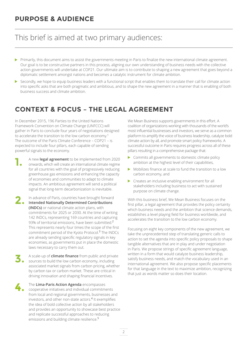## This brief is aimed at two primary audiences:

- Primarily, this document aims to assist the governments meeting in Paris to fnalize the new international climate agreement. Our goal is to be constructive partners in this process, aligning our own understanding of business needs with the collective action governments will undertake at COP21. Our ultimate aim is to contribute to shaping a new agreement that goes beyond a diplomatic settlement amongst nations and becomes a catalytic instrument for climate ambition.
- Secondly, we hope to equip business leaders with a functional script that enables them to translate their call for climate action into specifc asks that are both pragmatic and ambitious, and to shape the new agreement in a manner that is enabling of both business success and climate ambition.

## **CONTEXT & FOCUS – THE LEGAL AGREEMENT**

In December 2015, 196 Parties to the United Nations Framework Convention on Climate Change (UNFCCC) will gather in Paris to conclude four years of negotiations designed to accelerate the transition to the low carbon economy.<sup>1</sup> The outcome of the Paris Climate Conference – COP21 – is expected to include four pillars, each capable of sending powerful signals to the economy.

- **1.** A new **legal agreement** to be implemented from 2020 onwards, which will create an international climate regime for all countries with the goal of progressively reducing greenhouse gas emissions and enhancing the capacity of economies and communities to adapt to climate impacts. An ambitious agreement will send a political signal that long-term decarbonization is inevitable.
- **2.** In advance of Paris, countries have brought forward **Intended Nationally Determined Contributions (INDCs)** or national climate action plans, with commitments for 2025 or 2030. At the time of writing 142 INDCs, representing 169 countries and capturing 93% of territorial emissions, have been submitted.<sup>2</sup> This represents nearly four times the scope of the first commitment period of the Kyoto Protocol.3 The INDCs are already sending specific regulatory signals in key economies, as governments put in place the domestic laws necessary to carry them out.
- **3.** A scale-up of **climate finance** from public and private sources to build the low carbon economy, including associated market signals from carbon pricing, whether by carbon tax or carbon market. These are critical in driving innovation and shaping financial incentives.

**4.** The **Lima-Paris Action Agenda** encompasses cooperative initiatives and individual commitments from local and regional governments, businesses and investors, and other non-state actors. $4$  It exemplifies the idea of bold collective action by all stakeholders and provides an opportunity to showcase best practice and replicate successful approaches to reducing emissions and building climate resilience.<sup>5</sup>

We Mean Business supports governments in this effort. A coalition of organizations working with thousands of the world's most influential businesses and investors, we serve as a common platform to amplify the voice of business leadership, catalyze bold climate action by all, and promote smart policy frameworks. A successful outcome in Paris requires progress across all of these pillars resulting in a comprehensive package that:

- Commits all governments to domestic climate policy ambition at the highest level of their capabilities,
- Mobilizes finance at scale to fund the transition to a low carbon economy, and
- **EX Creates an inclusive enabling environment for all** stakeholders including business to act with sustained purpose on climate change.

With this business brief, We Mean Business focuses on the first pillar, a legal agreement that provides the policy certainty which business needs and the ambition that science demands, establishes a level playing field for business worldwide, and accelerates the transition to the low carbon economy.

Focusing on eight key components of the new agreement, we take the unprecedented step of translating generic calls to action to set the agenda into specific policy proposals to shape tangible alternatives that are in play and under negotiation in Paris. We propose strings of specific agreement language, written in a form that would catalyze business leadership, satisfy business needs, and match the vocabulary used in an international agreement. We also propose specific placements for that language in the text to maximize ambition, recognizing that just as words matter so does their location.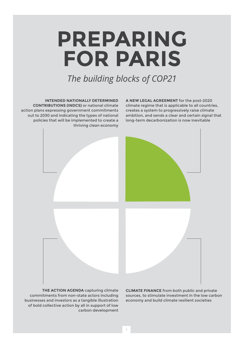## **PREPARING FOR PARIS**

*The building blocks of COP21*

**INTENDED NATIONALLY DETERMINED CONTRIBUTIONS (INDCS)** or national climate action plans expressing government commitments out to 2030 and indicating the types of national policies that will be implemented to create a thriving clean economy

**A NEW LEGAL AGREEMENT** for the post-2020 climate regime that is applicable to all countries, creates a system to progressively raise climate ambition, and sends a clear and certain signal that long-term decarbonization is now inevitable



**THE ACTION AGENDA capturing climate** commitments from non-state actors including businesses and investors as a tangible illustration of bold collective action by all in support of low carbon development

**CLIMATE FINANCE** from both public and private sources, to stimulate investment in the low carbon economy and build climate resilient societies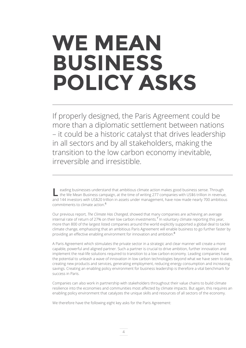## **WE MEAN BUSINESS POLICY ASKS**

If properly designed, the Paris Agreement could be more than a diplomatic settlement between nations – it could be a historic catalyst that drives leadership in all sectors and by all stakeholders, making the transition to the low carbon economy inevitable, irreversible and irresistible.

**L** eading businesses understand that ambitious climate action makes good business sense. Through the We Mean Business campaign, at the time of writing 277 companies with US\$6 trillion in revenue, and 144 investors with US\$20 trillion in assets under management, have now made nearly 700 ambitious commitments to climate action.<sup>6</sup>

Our previous report, *The Climate Has Changed*, showed that many companies are achieving an average internal rate of return of 27% on their low carbon investments.<sup>7</sup> In voluntary climate reporting this year, more than 800 of the largest listed companies around the world explicitly supported a global deal to tackle climate change, emphasizing that an ambitious Paris Agreement will enable business to go further faster by providing an effective enabling environment for innovation and ambition.<sup>8</sup>

A Paris Agreement which stimulates the private sector in a strategic and clear manner will create a more capable, powerful and aligned partner. Such a partner is crucial to drive ambition, further innovation and implement the real-life solutions required to transition to a low carbon economy. Leading companies have the potential to unleash a wave of innovation in low carbon technologies beyond what we have seen to date, creating new products and services, generating employment, reducing energy consumption and increasing savings. Creating an enabling policy environment for business leadership is therefore a vital benchmark for success in Paris.

Companies can also work in partnership with stakeholders throughout their value chains to build climate resilience into the economies and communities most affected by climate impacts. But again, this requires an enabling policy environment that catalyzes the unique skills and resources of all sectors of the economy.

We therefore have the following eight key asks for the Paris Agreement: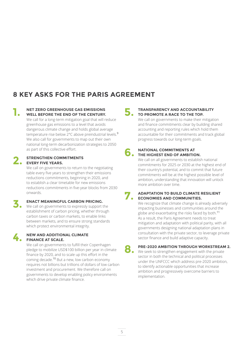## **8 KEY ASKS FOR THE PARIS AGREEMENT**

## **1. NET ZERO GREENHOUSE GAS EMISSIONS WELL BEFORE THE END OF THE CENTURY.**

We call for a long-term mitigation goal that will reduce greenhouse gas emissions to a level that avoids dangerous climate change and holds global average temperature rise below 2°C above preindustrial levels.<sup>9</sup> We also call for governments to map out their own national long-term decarbonization strategies to 2050 as part of this collective effort.

#### **2. STRENGTHEN COMMITMENTS EVERY FIVE YEARS.**

We call on governments to return to the negotiating table every five years to strengthen their emissions reductions commitments, beginning in 2020, and to establish a clear timetable for new emissions reductions commitments in five-year blocks from 2030 onwards.

#### **3. ENACT MEANINGFUL CARBON PRICING.**<br>
We call on governments to expressly support the establishment of carbon pricing, whether through carbon taxes or carbon markets, to enable links between markets, and to ensure strong standards which protect environmental integrity.

#### **4. NEW AND ADDITIONAL CLIMATE FINANCE AT SCALE.**

We call on governments to fulfill their Copenhagen pledge to mobilize USD\$100 billion per year in climate finance by 2020, and to scale up this effort in the coming decade.10 But a new, low carbon economy requires not billions but trillions of dollars of low carbon investment and procurement. We therefore call on governments to develop enabling policy environments which drive private climate finance.

#### **5. TRANSPARENCY AND ACCOUNTABILITY TO PROMOTE A RACE TO THE TOP.**

We call on governments to make their mitigation and finance commitments clear by building shared accounting and reporting rules which hold them accountable for their commitments and track global progress towards our long-term goals.

## **6. NATIONAL COMMITMENTS AT THE HIGHEST END OF AMBITION.**

We call on all governments to establish national commitments for 2025 or 2030 at the highest end of their country's potential, and to commit that future commitments will be at the highest possible level of ambition, understanding that innovation will unlock more ambition over time.

#### **7. ADAPTATION TO BUILD CLIMATE RESILIENT ECONOMIES AND COMMUNITIES.**

We recognize that climate change is already adversely impacting businesses and communities around the globe and exacerbating the risks faced by both.<sup>11</sup> As a result, the Paris Agreement needs to treat mitigation and adaptation with political parity, with all governments designing national adaptation plans in consultation with the private sector, to leverage private sector finance and build adaptive capacity.

#### **8. PRE-2020 AMBITION THROUGH WORKSTREAM 2.**

We seek to strengthen engagement with the private sector in both the technical and political processes under the UNFCCC which address pre-2020 ambition, to identify actionable opportunities that increase ambition and progressively overcome barriers to implementation.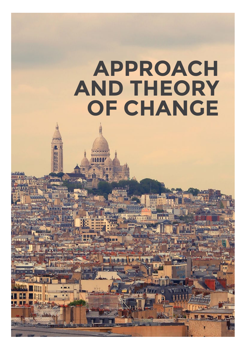## **APPROACH AND THEORY OF CHANGE**

**IR MONT**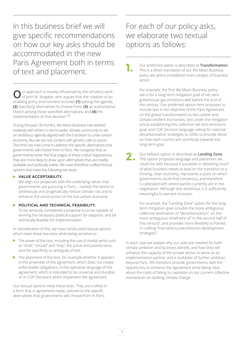In this business brief we will give specific recommendations on how our key asks should be accommodated in the new Paris Agreement both in terms of text and placement.

Our approach is heavily influenced by the scholarly work of John W. Kingdon, who argues that the creation of an enabling policy environment includes **(1)** setting the agenda, **(2)** specifying alternatives to choose from, **(3)** an authoritative choice among those specified alternatives, and **(4)** the implementation of that decision.<sup>12</sup>

During the past 18 months, We Mean Business has worked tirelessly with others in the broader climate community to set an ambitious agenda aligned with the transition to a low carbon economy. But we are not content with generic calls to action. The time has now come to address the specific alternatives that governments will choose from in Paris. We recognize that as governments enter the final stages of these critical negotiations, they are more likely to draw upon alternatives that are readily available and politically viable. We have therefore crafted textual options that meet the following two tests:

#### **VALUE ACCEPTABILITY.**

We align our proposals with the underlying values that governments are pursuing in Paris – namely the desire to ambitiously and pragmatically reduce climate risk and to enhance the construction of the low carbon economy.

#### **POLITICAL AND TECHNICAL FEASIBILITY.**

To be seriously considered a proposal must be capable of winning the necessary political support for adoption, and be technically feasible for implementation.

In consideration of this, we have constructed textual options which meet these two tests while being sensitive to:

- ь The *power* of the text, including the use of modal verbs such as "shall", "should" and "may", the active and passive voice, and the specificity or ambiguity of text.
- The *placement* of the text, for example whether it appears in the preamble of the agreement, which does not create enforceable obligations, in the operative language of the agreement, which is intended to be universal and durable, or in COP Decisions which implement the agreement.

Our textual options meet these tests. They are crafted in a form that is agreement-ready, tailored to the specific alternatives that governments will choose from in Paris.

## For each of our policy asks, we elaborate two textual options as follows:

**1.** Our preferred option is described as **Transformation**. This is a direct translation of our We Mean Business policy ask and is considered more catalytic of business action.

For example, the first We Mean Business policy ask is for a long-term mitigation goal of net zero greenhouse gas emissions well before the end of the century. Our preferred option here proposes to include text in the objective of the Paris Agreement on the global transformation to low carbon and climate resilient economies, text under the mitigation article establishing this collective net zero emissions goal, and COP Decision language calling for national decarbonization strategies to 2050, to provide detail on how each country will contribute towards this long-term goal.

**2.** Our fallback option is described as **Landing Zone**. This option proposes language and placement we could live with because it succeeds in delivering much of what business needs to lead on the transition to a thriving, clean economy, represents a point on which governments could find consensus, and therefore is calibrated with where parties currently are in the negotiation. Although less ambitious, it is sufficiently meaningful to warrant inclusion.

For example, the "Landing Zone" option for the longterm mitigation goal includes the more ambiguous collective destination of "decarbonization", on the more ambiguous timeframe of "in the second half of this century", and provides more flexibility to Parties in crafting "mid-century low emission development strategies".

In each case we explain why our asks are needed for both climate ambition and business benefit; and how they will enhance the capacity of the private sector to serve as an implementation partner and a multiplier of further ambition beyond Paris. We therefore provide governments with the opportunity to enhance the Agreement while being clear about the costs of failing to capitalize on our current collective momentum on tackling climate change.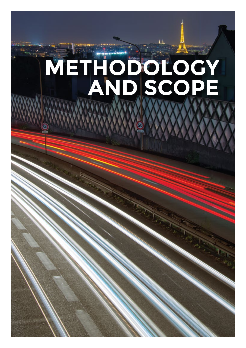# **METHODOLOGY AND SCOPE**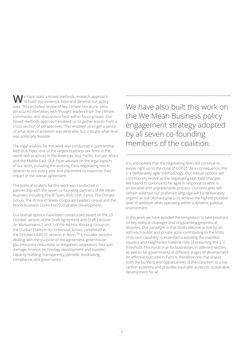We have used a mixed methods research approach<br>
to build our evidence base and develop our policy asks. This included review of key climate literature; semistructured interviews with thought leaders from the climate community; and discussions held within focus groups. Our mixed methods approach enabled us to gather inputs from a cross-section of perspectives. This enabled us to get a sense of what level of ambition was desirable but critically what level was politically feasible.

The legal analysis for this work was conducted in partnership with DLA Piper, one of the largest business law firms in the world with practices in the Americas, Asia Pacific, Europe, Africa and the Middle East. DLA Piper advised on the legal aspects of our work, including the evolving Paris negotiating text in relation to our policy asks and placement to maximize their impact in the overall agreement.

The political analysis for this work was conducted in partnership with the seven co-founding partners of We Mean Business including The B Team, BSR, CDP, Ceres, The Climate Group, The Prince of Wales Corporate Leaders Group and the World Business Council on Sustainable Development.

Our textual options have been constructed based on the 23 October version of the Draft Agreement and Draft Decision on Workstreams 1 and 2 of the Ad Hoc Working Group on the Durban Platform for Enhanced Action, completed at the October UNFCCC session in Bonn.<sup>13</sup> It includes sections dealing with the purpose of the agreement; greenhouse gas emissions reductions or mitigation; adaptation, loss and damage; finance; technology development and transfer; capacity building; transparency; periodic stocktaking; compliance; and governance.

We have also built this work on the We Mean Business policy engagement strategy adopted by all seven co-founding members of the coalition.

It is anticipated that the negotiating texts will continue to evolve right up to the close of COP21. As a consequence, this is a deliberately agile methodology. Our textual options will continuously evolve as the negotiating text itself changes. We intend to continue to be agile in response to what is an iterative and unpredictable process. Our principles will remain solid but our preferred language will be deliberately organic as our ultimate goal is to achieve the highest possible level of ambition while operating within a dynamic political environment.

In this work we have avoided the temptation to take positions on key political cleavages and longstanding geopolitical disputes. Our paradigm is that bold collective action by all, with each public and private actor contributing to the limits of its own capability, is essential to avoiding the manifest injustice and heightened material risks of breaching the 2˚C threshold. This holds true for businesses in different sectors as well as for governments at different stages of development. An effective outcome in Paris is therefore one that shares both the burdens and opportunities of the transition to a low carbon economy and provides equitable access to sustainable development for all.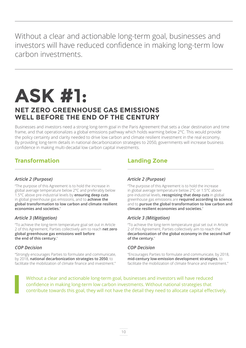Without a clear and actionable long-term goal, businesses and investors will have reduced confidence in making long-term low carbon investments.

# **ASK #1: NET ZERO GREENHOUSE GAS EMISSIONS**

## **WELL BEFORE THE END OF THE CENTURY**

Businesses and investors need a strong long-term goal in the Paris Agreement that sets a clear destination and time frame, and that operationalizes a global emissions pathway which holds warming below 2°C. This would provide the policy certainty and clarity needed to drive low carbon and climate resilient investment in the real economy. By providing long-term details in national decarbonization strategies to 2050, governments will increase business confidence in making multi-decadal low carbon capital investments.

## **Transformation**

### *Article 2 (Purpose)*

"The purpose of this Agreement is to hold the increase in global average temperature below 2°C and preferably below 1.5°C above pre-industrial levels by **ensuring deep cuts** in global greenhouse gas emissions, and to **achieve the global transformation to low carbon and climate resilient economies and societies.**"

### *Article 3 (Mitigation)*

"To achieve the long-term temperature goal set out in Article 2 of this Agreement, Parties collectively aim to reach **net zero global greenhouse gas emissions well before the end of this century.**"

### *COP Decision*

"Strongly encourages Parties to formulate and communicate, by 2018, **national decarbonization strategies to 2050**, to facilitate the mobilization of climate finance and investment."

## **Landing Zone**

### *Article 2 (Purpose)*

"The purpose of this Agreement is to hold the increase in global average temperature below 2°C or 1.5°C above pre-industrial levels, **recognizing that deep cuts** in global greenhouse gas emissions are **required according to science**, and to **pursue the global transformation to low carbon and climate resilient economies and societies.**"

### *Article 3 (Mitigation)*

"To achieve the long-term temperature goal set out in Article 2 of this Agreement, Parties collectively aim to reach the **decarbonization of the global economy in the second half of the century.**"

### *COP Decision*

"Encourages Parties to formulate and communicate, by 2018, **mid-century low-emission development strategies**, to facilitate the mobilization of climate finance and investment."

Without a clear and actionable long-term goal, businesses and investors will have reduced confdence in making long-term low carbon investments. Without national strategies that contribute towards this goal, they will not have the detail they need to allocate capital efectively.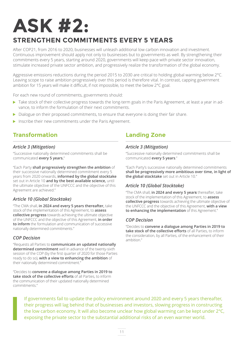## **ASK #2:**

## **STRENGTHEN COMMITMENTS EVERY 5 YEARS**

After COP21, from 2016 to 2020, businesses will unleash additional low carbon innovation and investment. Continuous improvement should apply not only to businesses but to governments as well. By strengthening their commitments every 5 years, starting around 2020, governments will keep pace with private sector innovation, stimulate increased private sector ambition, and progressively realize the transformation of the global economy.

Aggressive emissions reductions during the period 2015 to 2030 are critical to holding global warming below 2°C. Leaving scope to raise ambition progressively over this period is therefore vital. In contrast, capping government ambition for 15 years will make it difficult, if not impossible, to meet the below 2°C goal.

For each new round of commitments, governments should:

- Take stock of their collective progress towards the long-term goals in the Paris Agreement, at least a year in advance, to inform the formulation of their next commitments.
- Dialogue on their proposed commitments, to ensure that everyone is doing their fair share.
- Inscribe their new commitments under the Paris Agreement.

## **Transformation**

#### *Article 3 (Mitigation)*

"Successive nationally determined commitments shall be communicated **every 5 years.**"

"Each Party **shall progressively strengthen the ambition** of their successive nationally determined commitment every 5 years from 2020 onwards, **informed by the global stocktake** set out in Article 10 **and by the best available science,** until the ultimate objective of the UNFCCC and the objective of this Agreement are achieved."

### *Article 10 (Global Stocktake)*

"The CMA shall, **in 2024 and every 5 years thereafter,** take stock of the implementation of this Agreement, to **assess collective progress** towards achieving the ultimate objective of the UNFCCC and the objective of this Agreement, **in order to inform** the formulation and communication of successive nationally determined commitments."

#### *COP Decision*

"Requests all Parties to **communicate an updated nationally determined commitment** well in advance of the twenty-sixth session of the COP (by the first quarter of 2020 for those Parties ready to do so), **with a view to enhancing the ambition** of their nationally determined commitment."

"Decides to **convene a dialogue among Parties in 2019 to take stock of the collective efforts** of all Parties, to inform the communication of their updated nationally determined commitments."

## **Landing Zone**

#### *Article 3 (Mitigation)*

"Successive nationally determined commitments shall be communicated **every 5 years**."

"Each Party's successive nationally determined commitments **shall be progressively more ambitious over time, in light of the global stocktake** set out in Article 10."

#### *Article 10 (Global Stocktake)*

"The CMA shall, **in 2024 and every 5 years** thereafter, take stock of the implementation of this Agreement, to **assess collective progress** towards achieving the ultimate objective of the UNFCCC and the objective of this Agreement, **with a view to enhancing the implementation** of this Agreement."

#### *COP Decision*

"Decides to **convene a dialogue among Parties in 2019 to take stock of the collective efforts** of all Parties, to inform the consideration, by all Parties, of the enhancement of their ambition."

If governments fail to update the policy environment around 2020 and every 5 years thereafter, their progress will lag behind that of businesses and investors, slowing progress in constructing the low carbon economy. It will also become unclear how global warming can be kept under 2°C, exposing the private sector to the substantial additional risks of an even warmer world.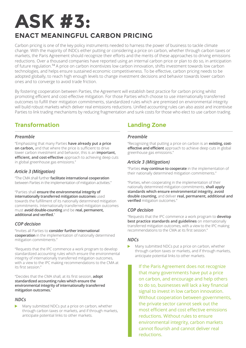## **ASK #3:**

## **ENACT MEANINGFUL CARBON PRICING**

Carbon pricing is one of the key policy instruments needed to harness the power of business to tackle climate change. With the majority of INDCs either putting or considering a price on carbon, whether through carbon taxes or markets, the Paris Agreement should recognize their efforts and the merits of these approaches to driving emissions reductions. Over a thousand companies have reported using an internal carbon price or plan to do so, in anticipation of future regulation.<sup>14</sup> A price on carbon incentivizes low carbon innovation, shifts investment towards low carbon technologies, and helps ensure sustained economic competitiveness. To be effective, carbon pricing needs to be adopted globally, to reach high enough levels to change investment decisions and behavior towards lower carbon ones and to converge to avoid trade friction.

By fostering cooperation between Parties, the Agreement will establish best practice for carbon pricing whilst promoting efficient and cost-effective mitigation. For those Parties which choose to use internationally transferred outcomes to fulfill their mitigation commitments, standardized rules which are premised on environmental integrity will build robust markets which deliver real emissions reductions. Unified accounting rules can also assist and incentivise Parties to link trading mechanisms by reducing fragmentation and sunk costs for those who elect to use carbon trading.

## **Transformation**

## *Preamble*

"Emphasizing that many Parties **have already put a price on carbon,** and that where the price is sufficient to drive lower carbon investment and behavior, this is an **important, efficient, and cost-effective** approach to achieving deep cuts in global greenhouse gas emissions."

### *Article 3 (Mitigation)*

"The CMA shall further **facilitate international cooperation** between Parties in the implementation of mitigation activities."

"Parties shall **ensure the environmental integrity of internationally transferred mitigation outcomes** used towards the fulfillment of its nationally determined mitigation commitments. Internationally transferred mitigation outcomes must **avoid double-counting** and be **real, permanent, additional and verified.**"

## *COP decision*

"Invites all Parties to **consider further international cooperation** in the implementation of nationally determined mitigation commitments."

"Requests that the IPC commence a work program to develop standardized accounting rules which ensure the environmental integrity of internationally transferred mitigation outcomes, with a view to the IPC making recommendations to the CMA at its first session."

"Decides that the CMA shall, at its first session, **adopt standardized accounting rules which ensure the environmental integrity of internationally transferred mitigation outcomes.**"

### *NDCs*

Many submitted NDCs put a price on carbon, whether through carbon taxes or markets, and if through markets, anticipate potential links to other markets.

## **Landing Zone**

## *Preamble*

"Recognizing that putting a price on carbon is an **existing, costeffective and efficient** approach to achieve deep cuts in global greenhouse gas emissions."

## *Article 3 (Mitigation)*

"Parties **may continue to cooperate** in the implementation of their nationally determined mitigation commitments."

"Parties, when cooperating in the implementation of their nationally determined mitigation commitments, **shall apply standards which ensure environmental integrity, avoid double counting,** and deliver **real, permanent, additional and verified** mitigation outcomes."

### *COP decision*

"Requests that the IPC commence a work program to **develop best practice standards and guidelines** on internationally transferred mitigation outcomes, with a view to the IPC making recommendations to the CMA at its first session."

### *NDCs*

Many submitted NDCs put a price on carbon, whether through carbon taxes or markets, and if through markets, anticipate potential links to other markets.

If the Paris Agreement does not recognize that many governments have put a price on carbon, and encourage and help others to do so, businesses will lack a key fnancial signal to invest in low carbon innovation. Without cooperation between governments, the private sector cannot seek out the most efficient and cost effective emissions reductions. Without rules to ensure environmental integrity, carbon markets cannot fourish and cannot deliver real reductions.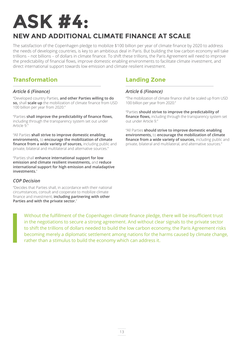## **ASK #4:**

## **NEW AND ADDITIONAL CLIMATE FINANCE AT SCALE**

The satisfaction of the Copenhagen pledge to mobilize \$100 billion per year of climate finance by 2020 to address the needs of developing countries, is key to an ambitious deal in Paris. But building the low carbon economy will take trillions – not billions – of dollars in climate finance. To shift these trillions, the Paris Agreement will need to improve the predictability of financial flows, improve domestic enabling environments to facilitate climate investment, and direct international support towards low emission and climate resilient investment.

## **Transformation**

#### *Article 6 (Finance)*

"Developed country Parties, **and other Parties willing to do so,** shall **scale up** the mobilization of climate finance from USD 100 billion per year from 2020."

"Parties **shall improve the predictability of finance flows,**  including through the transparency system set out under Article 9."

"All Parties **shall strive to improve domestic enabling environments,** to **encourage the mobilization of climate finance from a wide variety of sources,** including public and private, bilateral and multilateral and alternative sources."

"Parties shall **enhance international support for low emission and climate resilient investments,** and **reduce international support for high emission and maladaptive investments.**"

#### *COP Decision*

"Decides that Parties shall, in accordance with their national circumstances, consult and cooperate to mobilize climate finance and investment, **including partnering with other Parties and with the private sector.**"

## **Landing Zone**

#### *Article 6 (Finance)*

"The mobilization of climate finance shall be scaled up from USD 100 billion per year from 2020."

"Parties **should strive to improve the predictability of finance flows, including through the transparency system set** out under Article 9."

"All Parties **should strive to improve domestic enabling environments,** to **encourage the mobilization of climate finance from a wide variety of sources,** including public and private, bilateral and multilateral, and alternative sources."

Without the fulfillment of the Copenhagen climate finance pledge, there will be insufficient trust in the negotiations to secure a strong agreement. And without clear signals to the private sector to shift the trillions of dollars needed to build the low carbon economy, the Paris Agreement risks becoming merely a diplomatic settlement among nations for the harms caused by climate change, rather than a stimulus to build the economy which can address it.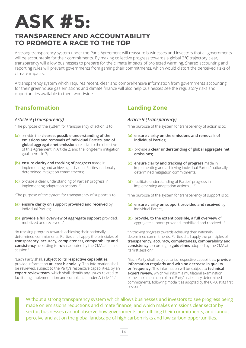## **ASK #5:**

## **TRANSPARENCY AND ACCOUNTABILITY TO PROMOTE A RACE TO THE TOP**

A strong transparency system under the Paris Agreement will reassure businesses and investors that all governments will be accountable for their commitments. By making collective progress towards a global 2°C trajectory clear, transparency will allow businesses to prepare for the climate impacts of projected warming. Shared accounting and reporting rules will prevent governments from gaming their commitments, which would distort the perceived risks of climate impacts.

A transparency system which requires recent, clear and comprehensive information from governments accounting for their greenhouse gas emissions and climate finance will also help businesses see the regulatory risks and opportunities available to them worldwide.

## **Transformation**

#### *Article 9 (Transparency)*

"The purpose of the system for transparency of action is to:

- **(a)** provide the **clearest possible understanding of the emissions and removals of individual Parties, and of global aggregate net emissions** relative to the objective of this Agreement in Article 2, and the long-term mitigation goal in Article 3;
- **(b) ensure clarity and tracking of progress** made in implementing and achieving individual Parties' nationally determined mitigation commitments;
- **(c)** provide a clear understanding of Parties' progress in implementing adaptation actions…"

"The purpose of the system for transparency of support is to:

- **(a) ensure clarity on support provided and received** by individual Parties;
- **(b) provide a full overview of aggregate support** provided, mobilized and received…"

"In tracking progress towards achieving their nationally determined commitments, Parties shall apply the principles of **transparency, accuracy, completeness, comparability and consistency** according to **rules** adopted by the CMA at its first session."

"Each Party shall, **subject to its respective capabilities,** provide information **at least biennially**. This information shall be reviewed, subject to the Party's respective capabilities, by an **expert review team**, which shall identify any issues related to facilitating implementation and compliance under Article 11."

## **Landing Zone**

#### *Article 9 (Transparency)*

"The purpose of the system for transparency of action is to:

- **(a) ensure clarity on the emissions and removals of individual Parties;**
- **(b)** provide a **clear understanding of global aggregate net emissions;**
- **(c) ensure clarity and tracking of progress** made in implementing and achieving individual Parties' nationally determined mitigation commitments;
- **(d)** facilitate understanding of Parties' progress in implementing adaptation actions……"

"The purpose of the system for transparency of support is to:

- **(a) ensure clarity on support provided and received** by individual Parties;
- **(b) provide, to the extent possible, a full overview** of aggregate support provided, mobilized and received…"

"In tracking progress towards achieving their nationally determined commitments, Parties shall apply the principles of **transparency, accuracy, completeness, comparability and consistency,** according to **guidelines** adopted by the CMA at its first session."

"Each Party shall, subject to its respective capabilities, **provide information regularly and with no decrease in quality or frequency.** This information will be subject to **technical expert review**, which will inform a multilateral examination of the implementation of that Party's nationally determined commitments, following modalities adopted by the CMA at its first session."

Without a strong transparency system which allows businesses and investors to see progress being made on emissions reductions and climate fnance, and which makes emissions clear sector by sector, businesses cannot observe how governments are fulflling their commitments, and cannot perceive and act on the global landscape of high carbon risks and low carbon opportunities.

14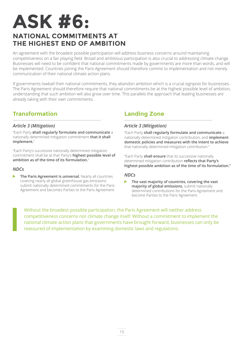# **ASK #6: NATIONAL COMMITMENTS AT**

## **THE HIGHEST END OF AMBITION**

An agreement with the broadest possible participation will address business concerns around maintaining competitiveness on a fair playing field. Broad and ambitious participation is also crucial to addressing climate change. Businesses will need to be confident that national commitments made by governments are more than words, and will be implemented. Countries joining the Paris Agreement should therefore commit to implementation and not merely communication of their national climate action plans.

If governments lowball their national commitments, they abandon ambition which is a crucial signpost for businesses. The Paris Agreement should therefore require that national commitments be at the highest possible level of ambition, understanding that such ambition will also grow over time. This parallels the approach that leading businesses are already taking with their own commitments.

## **Transformation**

#### *Article 3 (Mitigation)*

"Each Party **shall regularly formulate and communicate** a nationally determined mitigation commitment **that it shall implement.**"

"Each Party's successive nationally determined mitigation commitment shall be at that Party's **highest possible level of ambition as of the time of its formulation.**"

#### *NDCs*

**The Paris Agreement is universal.** Nearly all countries covering nearly all global greenhouse gas emissions submit nationally determined commitments for the Paris Agreement and becomes Parties to the Paris Agreement.

## **Landing Zone**

### *Article 3 (Mitigation)*

"Each Party **shall regularly formulate and communicate** a nationally determined mitigation contribution, and **implement domestic policies and measures with the intent to achieve** that nationally determined mitigation contribution."

"Each Party **shall ensure** that its successive nationally determined mitigation contribution **reflects that Party's highest possible ambition as of the time of its formulation."** 

#### *NDCs*

**The vast majority of countries, covering the vast majority of global emissions,** submit nationally determined contributions for the Paris Agreement and become Parties to the Paris Agreement.

Without the broadest possible participation, the Paris Agreement will neither address competitiveness concerns nor climate change itself. Without a commitment to implement the national climate action plans that governments have brought forward, businesses can only be reassured of implementation by examining domestic laws and regulations.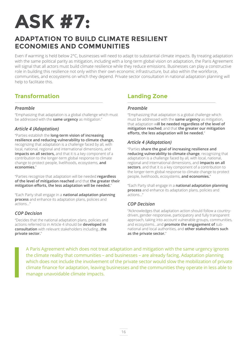## **ASK #7:**

## **ADAPTATION TO BUILD CLIMATE RESILIENT ECONOMIES AND COMMUNITIES**

Even if warming is held below 2°C, businesses will need to adapt to substantial climate impacts. By treating adaptation with the same political parity as mitigation, including with a long-term global vision on adaptation, the Paris Agreement will signal that all actors must build climate resilience while they reduce emissions. Businesses can play a constructive role in building this resilience not only within their own economic infrastructure, but also within the workforce, communities, and ecosystems on which they depend. Private sector consultation in national adaptation planning will help to facilitate this.

## **Transformation**

#### *Preamble*

"Emphasizing that adaptation is a global challenge which must be addressed with the **same urgency** as mitigation."

#### *Article 4 (Adaptation)*

"Parties establish the **long-term vision of increasing resilience and reducing vulnerability to climate change,**  recognizing that adaptation is a challenge faced by all, with local, national, regional and international dimensions, and **impacts on all sectors,** and that it is a key component of a contribution to the longer-term global response to climate change to protect people, livelihoods, ecosystems, **and economies.**"

"Parties recognize that adaptation will be needed **regardless of the level of mitigation reached** and that **the greater their mitigation efforts, the less adaptation will be needed.**"

"Each Party shall engage in a **national adaptation planning process** and enhance its adaptation plans, policies and actions…"

### *COP Decision*

"Decides that the national adaptation plans, policies and actions referred to in Article 4 should be **developed in consultation** with relevant stakeholders including…**the private sector.**"

## **Landing Zone**

#### *Preamble*

"Emphasizing that adaptation is a global challenge which must be addressed with the **same urgency** as mitigation, that adaptation w**ill be needed regardless of the level of mitigation reached**, and that **the greater our mitigation efforts, the less adaptation will be needed.**"

### *Article 4 (Adaptation)*

"Parties **share the goal of increasing resilience and reducing vulnerability to climate change**, recognizing that adaptation is a challenge faced by all, with local, national, regional and international dimensions, and **impacts on all sectors**, and that it is a key component of a contribution to the longer-term global response to climate change to protect people, livelihoods, ecosystems, **and economies.**"

"Each Party shall engage in a **national adaptation planning process** and enhance its adaptation plans, policies and actions…"

#### *COP Decision*

"Acknowledges that adaptation action should follow a countrydriven, gender-responsive, participatory and fully transparent approach, taking into account vulnerable groups, communities, and ecosystems…and **promote the engagement of** subnational and local authorities, and **other stakeholders such as the private sector.**"

A Paris Agreement which does not treat adaptation and mitigation with the same urgency ignores the climate reality that communities – and businesses – are already facing. Adaptation planning which does not include the involvement of the private sector would slow the mobilization of private climate finance for adaptation, leaving businesses and the communities they operate in less able to manage unavoidable climate impacts.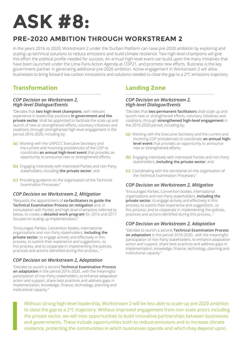## **ASK #8:**

## **PRE-2020 AMBITION THROUGH WORKSTREAM 2**

In the years 2016 to 2020, Workstream 2 under the Durban Platform can raise pre-2020 ambition by exploring and scaling up technical solutions to reduce emissions and build climate resilience. Two high-level champions will give this effort the political profile needed for success. An annual high-level event can build upon the many initiatives that have been launched under the Lima-Paris Action Agenda at COP21, and promote new efforts. Business is the key government partner in generating additional pre-2020 ambition. Active engagement in Workstream 2 will allow businesses to bring forward low carbon innovations and solutions needed to close the gap to a 2°C emissions trajectory.

## **Transformation**

#### *COP Decision on Workstream 2, High-level Dialogue/Events*

"Decides that **two high-level champions**, with relevant experience in leadership positions **in government and the private sector**, shall be appointed to facilitate the scale up and launch of new or strengthened efforts, voluntary initiatives and coalitions, through strengthened high-level engagement in the period 2016-2020, including by:

- **(a)** Working with the UNFCCC Executive Secretary and the current and incoming presidencies of the COP to coordinate **an annual high-level event** that provides an opportunity to announce new or strengthened efforts;
- **(b)** Engaging intensively with interested Parties and non-Party stakeholders, including **the private sector**; and
- **(c)** Providing guidance on the organization of the Technical Examination Processes."

#### *COP Decision on Workstream 2, Mitigation*

"Requests the appointment of **co-facilitators to guide the Technical Examination Process on mitigation** and, in consultation with Parties and high-level champions referred to below, to create a **detailed work program** for 2016 and 2017 focused on scaling up implementation."

"Encourages Parties, Convention bodies, international organizations and non-Party stakeholders, **including the private sector**, to engage actively and effectively in this process, to submit their experience and suggestions…to this process, and to cooperate in implementing the policies, practices and actions identified during this process…"

### *COP Decision on Workstream 2, Adaptation*

"Decides to launch a second **Technical Examination Process on adaptation** in the period 2016-2020…with the meaningful participation of non-Party stakeholders, to enhance adaptation action and support, share best practices and address gaps in implementation, knowledge, finance, technology, planning and institutional capacity."

## **Landing Zone**

#### *COP Decision on Workstream 2, High-level Dialogue/Events*

"Decides that **two permanent facilitators** shall scale up and launch new or strengthened efforts, voluntary initiatives and coalitions, through **strengthened high-level engagement** in the 2016-2020 period, including by:

- **(a)** Working with the Executive Secretary and the current and incoming COP presidencies to coordinate **an annual highlevel event** that provides an opportunity to announce new or strengthened efforts;
- **(b)** Engaging intensively with interested Parties and non-Party stakeholders, **including the private sector**; and
- **(c)** Coordinating with the secretariat on the organization of the Technical Examination Processes."

### *COP Decision on Workstream 2, Mitigation*

"Encourages Parties, Convention bodies, international organizations and non-Party stakeholders, **including the private sector**, to engage actively and effectively in this process, to submit their experience and suggestions…to this process, and to cooperate in implementing the policies, practices and actions identified during this process…"

### *COP Decision on Workstream 2, Adaptation*

"Decides to launch a second **Technical Examination Process on adaptation** in the period 2016-2020…with the meaningful participation of non-Party stakeholders, to enhance adaptation action and support, share best practices and address gaps in implementation, knowledge, finance, technology, planning and institutional capacity."

Without strong high-level leadership, Workstream 2 will be less able to scale-up pre-2020 ambition to close the gap to a 2°C trajectory. Without improved engagement from non-state actors including the private sector, we will miss opportunities to build innovative partnerships between businesses and governments. These include opportunities both to reduce emissions and to increase climate resilience, protecting the communities in which businesses operate and which they depend upon.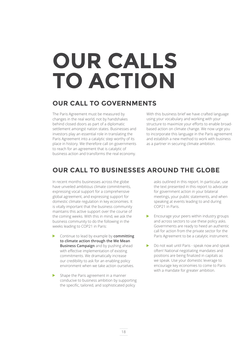## **OUR CALLS TO ACTION**

## **OUR CALL TO GOVERNMENTS**

The Paris Agreement must be measured by changes in the real world, not by handshakes behind closed doors as part of a diplomatic settlement amongst nation states. Businesses and investors play an essential role in translating the Paris Agreement into a catalytic step worthy of its place in history. We therefore call on governments to reach for an agreement that is catalytic of business action and transforms the real economy.

With this business brief we have crafted language using your vocabulary and working with your structure to maximize your efforts to enable broadbased action on climate change. We now urge you to incorporate this language in the Paris agreement and establish a new method to work with business as a partner in securing climate ambition.

## **OUR CALL TO BUSINESSES AROUND THE GLOBE**

In recent months businesses across the globe have unveiled ambitious climate commitments, expressing vocal support for a comprehensive global agreement, and expressing support for domestic climate regulation in key economies. It is vitally important that the business community maintains this active support over the course of the coming weeks. With this in mind, we ask the business community to do the following in the weeks leading to COP21 in Paris:

- ь Continue to lead by example by **committing to climate action through the We Mean Business Campaign** and by pushing ahead with effective implementation of existing commitments. We dramatically increase our credibility to ask for an enabling policy environment when we take action ourselves.
- Shape the Paris agreement in a manner ь conducive to business ambition by supporting the specific, tailored, and sophisticated policy

asks outlined in this report. In particular, use the text presented in this report to advocate for government action in your bilateral meetings, your public statements, and when speaking at events leading to and during COP21 in Paris.

- Encourage your peers within industry groups and across sectors to use these policy asks. Governments are ready to heed an authentic call for action from the private sector for the Paris Agreement to be a catalytic instrument.
- Do not wait until Paris speak now and speak often! National negotiating mandates and positions are being finalized in capitals as we speak. Use your domestic leverage to encourage key economies to come to Paris with a mandate for greater ambition.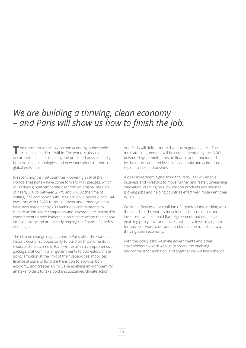## *We are building a thriving, clean economy – and Paris will show us how to fnish the job.*

**T** he transition to the low carbon economy is inevitable, irreversible and irresistible. The world is already decarbonizing faster than anyone predicted possible, using both existing technologies and new innovations to reduce global emissions.

In recent months 169 countries – covering 93% of the world's emissions – have come forward with pledges, which will reduce global temperate rise from an original baseline of nearly 5°C to between 2.7°C and 3°C. At the time of writing, 277 companies with US\$6 trillion in revenue and 144 investors with US\$20 trillion in assets under management, have now made nearly 700 ambitious commitments to climate action. More companies and investors are joining this commitment to bold leadership on climate action than at any time in history and are already reaping the financial benefits of doing so.

The climate change negotiations in Paris offer the world a historic economic opportunity to build on this momentum. A successful outcome in Paris will result in a comprehensive package that commits all governments to domestic climate policy ambition at the limit of their capabilities, mobilizes finance at scale to fund the transition to a low carbon economy, and creates an inclusive enabling environment for all stakeholders to take bold and sustained climate action.

And Paris will deliver more than the negotiating text. The multilateral agreement will be complemented by the INDCs, bolstered by commitments on finance and emboldened by the unprecedented levels of leadership and action from regions, cities and business.

A clear investment signal from the Paris COP will enable business and investors to move further and faster, unleashing innovation, creating new low carbon products and services, growing jobs and helping countries effectively implement their INDCs.

We Mean Business – a coalition of organizations working with thousands of the world's most influential businesses and investors – wants a bold Paris Agreement that creates an enabling policy environment, establishes a level playing field for business worldwide, and accelerates the transition to a thriving, clean economy.

With the policy asks we invite governments and other stakeholders to work with us to create the enabling environment for ambition, and together we will finish the job.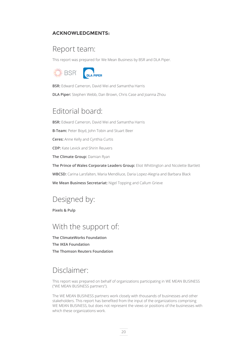## **ACKNOWLEDGMENTS:**

## Report team:

This report was prepared for We Mean Business by BSR and DLA Piper.



**BSR:** Edward Cameron, David Wei and Samantha Harris **DLA Piper:** Stephen Webb, Dan Brown, Chris Case and Joanna Zhou

## Editorial board:

**BSR:** Edward Cameron, David Wei and Samantha Harris **B-Team:** Peter Boyd, John Tobin and Stuart Beer **Ceres:** Anne Kelly and Cynthia Curtis **CDP:** Kate Levick and Shirin Reuvers **The Climate Group: Damian Ryan The Prince of Wales Corporate Leaders Group:** Eliot Whittington and Nicolette Bartlett **WBCSD:** Carina Larsfalten, Maria Mendiluce, Daria Lopez-Alegria and Barbara Black **We Mean Business Secretariat:** Nigel Topping and Callum Grieve

## Designed by:

**Pixels & Pulp**

## With the support of:

**The ClimateWorks Foundation The IKEA Foundation The Thomson Reuters Foundation**

## Disclaimer:

This report was prepared on behalf of organizations participating in WE MEAN BUSINESS ("WE MEAN BUSINESS partners").

The WE MEAN BUSINESS partners work closely with thousands of businesses and other stakeholders. This report has benefited from the input of the organizations comprising WE MEAN BUSINESS, but does not represent the views or positions of the businesses with which these organizations work.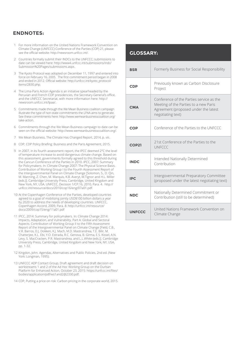#### **ENDNOTES:**

- 1 For more information on the United Nations Framework Convention on Climate Change (UNFCCC) Conference of the Parties (COP) 21, please see the official website: http://newsroom.unfccc.int/.
- 2 Countries formally submit their INDCs to the UNFCCC; submissions to date can be viewed here: http://www4.unfccc.int/submissions/indc/ Submission%20Pages/submissions.aspx.
- 3 The Kyoto Protocol was adopted on December 11, 1997 and entered into force on February 16, 2005. The first commitment period began in 2008 and ended in 2012. Official website: http://unfccc.int/kyoto\_protocol/ items/2830.php.
- 4 The Lima-Paris Action Agenda is an initiative spearheaded by the Peruvian and French COP presidencies, the Secretary-General's office, and the UNFCCC Secretariat, with more information here: http:// newsroom.unfccc.int/lpaa/.
- 5 Commitments made through the We Mean Business coalition campaign illustrate the type of non-state commitments the LPAA aims to generate. See these commitments here: http://www.wemeanbusinesscoalition.org/ take-action.
- 6 Commitments through the We Mean Business campaign to date can be seen on the official website: http://www.wemeanbusinesscoalition.org/.
- 7 We Mean Business, The Climate Has Changed Report, 2014, p. viii.
- 8 CDP, CDP Policy Briefing: Business and the Paris Agreement, 2015.
- 9 In 2007, in its fourth assessment report, the IPCC deemed 2°C the level of temperature increase to avoid dangerous climate change. Based on this assessment, governments formally agreed to this threshold during the Cancun Conference of the Parties in 2010. IPCC, 2007: Summary for Policymakers. In: Climate Change 2007: The Physical Science Basis. Contribution of Working Group I to the Fourth Assessment Report of the Intergovernmental Panel on Climate Change [Solomon, S., D. Qin, M. Manning, Z. Chen, M. Marquis, K.B. Averyt, M.Tignor and H.L. Miller (eds.)]. Cambridge University Press, Cambridge, United Kingdom and New York, NY, USA. UNFCCC, Decision 1/CP.16, 2010, Para. 4. http:// unfccc.int/resource/docs/2010/cop16/eng/07a01.pdf.
- 10 At the Copenhagen Conference of the Parties, developed countries agreed to a goal of mobilizing jointly USD\$100 billion dollars a year by 2020 to address the needs of developing countries. UNFCCC, Copenhagen Accord, 2009, Para. 8: http://unfccc.int/resource/ docs/2009/cop15/eng/11a01.pdf
- 11 IPCC, 2014: Summary for policymakers. In: Climate Change 2014: Impacts, Adaptation, and Vulnerability. Part A: Global and Sectoral Aspects. Contribution of Working Group II to the Fifth Assessment Report of the Intergovernmental Panel on Climate Change [Field, C.B., V.R. Barros, D.J. Dokken, K.J. Mach, M.D. Mastrandrea, T.E. Bilir, M. Chatterjee, K.L. Ebi, Y.O. Estrada, R.C. Genova, B. Girma, E.S. Kissel, A.N. Levy, S. MacCracken, P.R. Mastrandrea, and L.L.White (eds.)]. Cambridge University Press, Cambridge, United Kingdom and New York, NY, USA, pp. 1-32.
- 12 Kingdon, John. Agendas, Alternatives and Public Policies, 2nd ed. (New York: Longman, 1995).
- 13 UNFCCC ADP Contact Group, Draft agreement and draft decision on workstreams 1 and 2 of the Ad Hoc Working Group on the Durban Platform for Enhanced Action, October 23, 2015: https://unfccc.int/files/ bodies/application/pdf/ws1and2@2330.pdf.
- 14 CDP, Putting a price on risk: Carbon pricing in the corporate world, 2015.

#### **GLOSSARY:**

| <b>BSR</b>    | Formerly Business for Social Responsibility                                                                                                    |
|---------------|------------------------------------------------------------------------------------------------------------------------------------------------|
| <b>CDP</b>    | Previously known as Carbon Disclosure<br>Project                                                                                               |
| <b>CMA</b>    | Conference of the Parties service as the<br>Meeting of the Parties to a new Paris<br>Agreement (proposed under the latest<br>negotiating text) |
| <b>COP</b>    | Conference of the Parties to the UNFCCC                                                                                                        |
| <b>COP21</b>  | 21st Conference of the Parties to the<br><b>UNFCCC</b>                                                                                         |
| <b>INDC</b>   | Intended Nationally Determined<br>Contribution                                                                                                 |
| <b>IPC</b>    | Intergovernmental Preparatory Committee<br>(proposed under the latest negotiating text)                                                        |
| <b>NDC</b>    | Nationally Determined Commitment or<br>Contribution (still to be determined)                                                                   |
| <b>UNFCCC</b> | United Nations Framework Convention on<br>Climate Change                                                                                       |